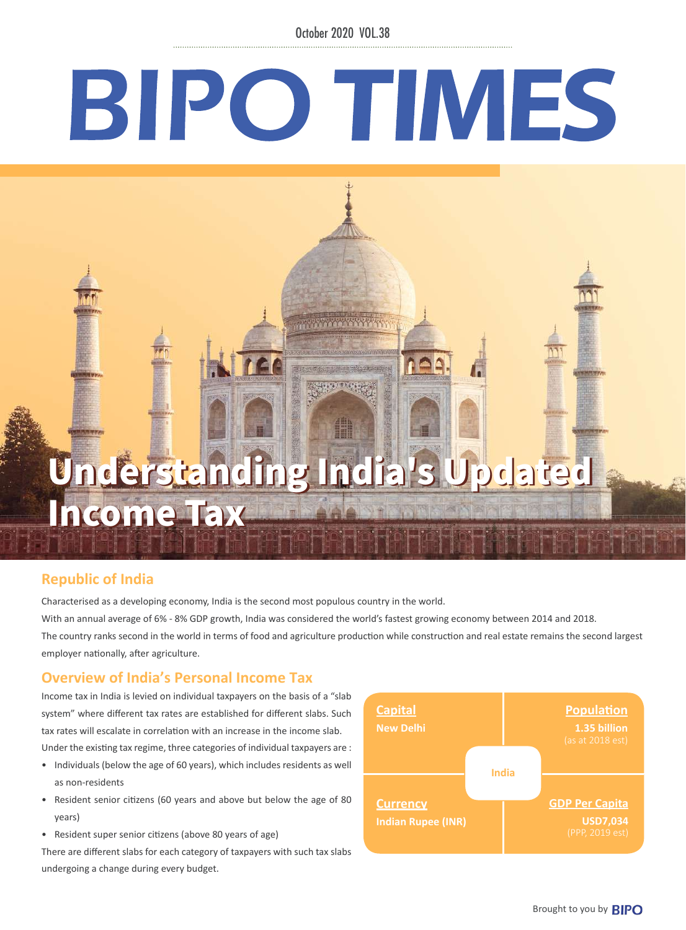October 2020 VOL.38

# BIPO TIMES

# Understanding India's Updated Understanding India's Updated Income Tax Income Tax

**ATTENTION IN THE TEAM** 

**Republic of India**

Characterised as a developing economy, India is the second most populous country in the world. With an annual average of 6% - 8% GDP growth, India was considered the world's fastest growing economy between 2014 and 2018. The country ranks second in the world in terms of food and agriculture production while construction and real estate remains the second largest employer nationally, after agriculture.

# **Overview of India's Personal Income Tax**

Income tax in India is levied on individual taxpayers on the basis of a "slab system" where different tax rates are established for different slabs. Such tax rates will escalate in correlation with an increase in the income slab. Under the existing tax regime, three categories of individual taxpayers are :

- Individuals (below the age of 60 years), which includes residents as well as non-residents
- Resident senior citizens (60 years and above but below the age of 80 years)
- Resident super senior citizens (above 80 years of age)

There are different slabs for each category of taxpayers with such tax slabs undergoing a change during every budget.

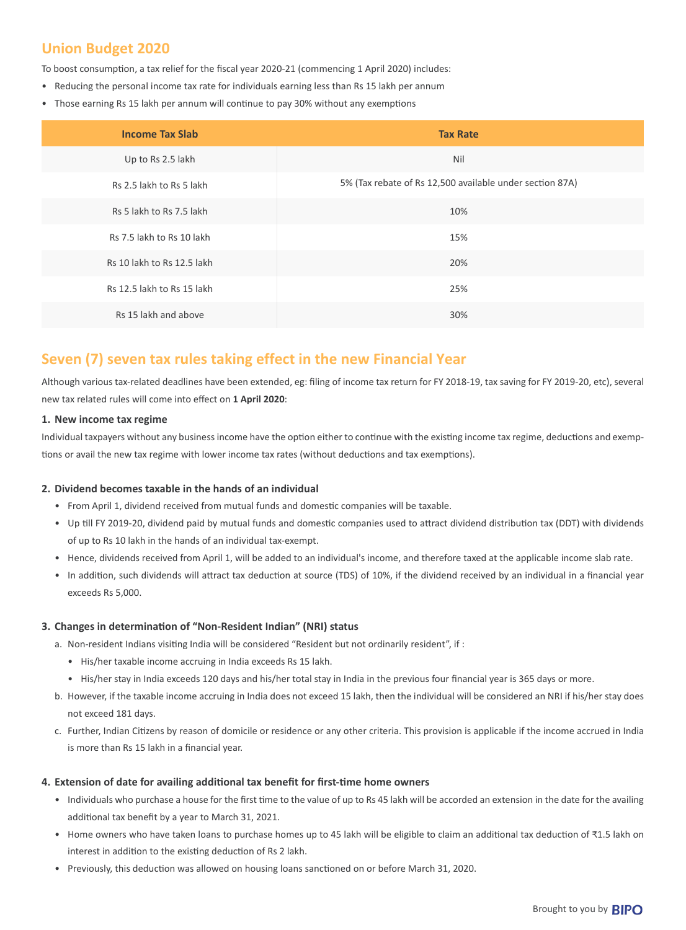# **Union Budget 2020**

To boost consumption, a tax relief for the fiscal year 2020-21 (commencing 1 April 2020) includes:

- Reducing the personal income tax rate for individuals earning less than Rs 15 lakh per annum
- Those earning Rs 15 lakh per annum will continue to pay 30% without any exemptions

| <b>Income Tax Slab</b>     | <b>Tax Rate</b>                                          |
|----------------------------|----------------------------------------------------------|
| Up to Rs 2.5 lakh          | Nil                                                      |
| Rs 2.5 lakh to Rs 5 lakh   | 5% (Tax rebate of Rs 12,500 available under section 87A) |
| Rs 5 lakh to Rs 7.5 lakh   | 10%                                                      |
| Rs 7.5 lakh to Rs 10 lakh  | 15%                                                      |
| Rs 10 lakh to Rs 12.5 lakh | 20%                                                      |
| Rs 12.5 lakh to Rs 15 lakh | 25%                                                      |
| Rs 15 lakh and above       | 30%                                                      |

# **Seven (7) seven tax rules taking effect in the new Financial Year**

Although various tax-related deadlines have been extended, eg: filing of income tax return for FY 2018-19, tax saving for FY 2019-20, etc), several new tax related rules will come into effect on **1 April 2020**:

# **1. New income tax regime**

Individual taxpayers without any business income have the option either to continue with the existing income tax regime, deductions and exemptions or avail the new tax regime with lower income tax rates (without deductions and tax exemptions).

# **2. Dividend becomes taxable in the hands of an individual**

- From April 1, dividend received from mutual funds and domestic companies will be taxable.
- Up till FY 2019-20, dividend paid by mutual funds and domestic companies used to attract dividend distribution tax (DDT) with dividends of up to Rs 10 lakh in the hands of an individual tax-exempt.
- Hence, dividends received from April 1, will be added to an individual's income, and therefore taxed at the applicable income slab rate.
- In addition, such dividends will attract tax deduction at source (TDS) of 10%, if the dividend received by an individual in a financial year exceeds Rs 5,000.

# **3. Changes in determination of "Non-Resident Indian" (NRI) status**

- a. Non-resident Indians visiting India will be considered "Resident but not ordinarily resident", if :
	- His/her taxable income accruing in India exceeds Rs 15 lakh.
	- His/her stay in India exceeds 120 days and his/her total stay in India in the previous four financial year is 365 days or more.
- b. However, if the taxable income accruing in India does not exceed 15 lakh, then the individual will be considered an NRI if his/her stay does not exceed 181 days.
- c. Further, Indian Citizens by reason of domicile or residence or any other criteria. This provision is applicable if the income accrued in India is more than Rs 15 lakh in a financial year.

# **4. Extension of date for availing additional tax benefit for first-time home owners**

- Individuals who purchase a house for the first time to the value of up to Rs 45 lakh will be accorded an extension in the date for the availing additional tax benefit by a year to March 31, 2021.
- Home owners who have taken loans to purchase homes up to 45 lakh will be eligible to claim an additional tax deduction of ₹1.5 lakh on interest in addition to the existing deduction of Rs 2 lakh.
- Previously, this deduction was allowed on housing loans sanctioned on or before March 31, 2020.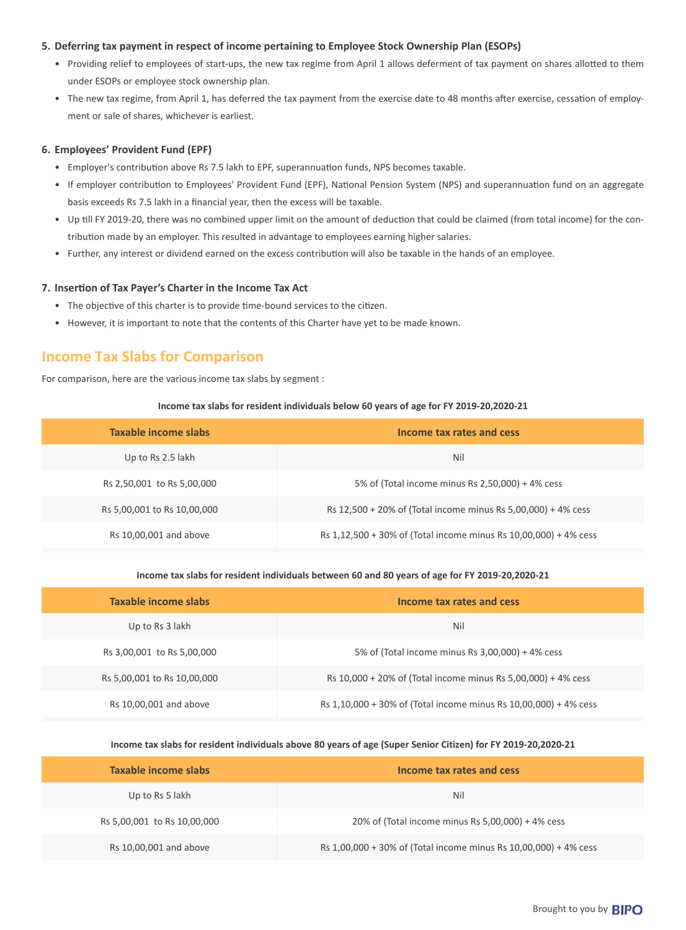# **5. Deferring tax payment in respect of income pertaining to Employee Stock Ownership Plan (ESOPs)**

- Providing relief to employees of start-ups, the new tax regime from April 1 allows deferment of tax payment on shares allotted to them under ESOPs or employee stock ownership plan.
- The new tax regime, from April 1, has deferred the tax payment from the exercise date to 48 months after exercise, cessation of employment or sale of shares, whichever is earliest.

# **6. Employees' Provident Fund (EPF)**

- Employer's contribution above Rs 7.5 lakh to EPF, superannuation funds, NPS becomes taxable.
- If employer contribution to Employees' Provident Fund (EPF), National Pension System (NPS) and superannuation fund on an aggregate basis exceeds Rs 7.5 lakh in a financial year, then the excess will be taxable.
- Up till FY 2019-20, there was no combined upper limit on the amount of deduction that could be claimed (from total income) for the contribution made by an employer. This resulted in advantage to employees earning higher salaries.
- Further, any interest or dividend earned on the excess contribution will also be taxable in the hands of an employee.

## **7. Insertion of Tax Payer's Charter in the Income Tax Act**

- The objective of this charter is to provide time-bound services to the citizen.
- However, it is important to note that the contents of this Charter have yet to be made known.

# **Income Tax Slabs for Comparison**

For comparison, here are the various income tax slabs by segment :

## **Income tax slabs for resident individuals below 60 years of age for FY 2019-20,2020-21**

| Taxable income slabs        | Income tax rates and cess                                        |
|-----------------------------|------------------------------------------------------------------|
| Up to Rs 2.5 lakh           | Nil                                                              |
| Rs 2,50,001 to Rs 5,00,000  | 5% of (Total income minus Rs 2,50,000) + 4% cess                 |
| Rs 5,00,001 to Rs 10,00,000 | Rs 12,500 + 20% of (Total income minus Rs 5,00,000) + 4% cess    |
| Rs 10,00,001 and above      | Rs 1,12,500 + 30% of (Total income minus Rs 10,00,000) + 4% cess |

#### **Income tax slabs for resident individuals between 60 and 80 years of age for FY 2019-20,2020-21**

| Taxable income slabs        | Income tax rates and cess                                        |
|-----------------------------|------------------------------------------------------------------|
| Up to Rs 3 lakh             | Nil                                                              |
| Rs 3,00,001 to Rs 5,00,000  | 5% of (Total income minus Rs 3,00,000) + 4% cess                 |
| Rs 5,00,001 to Rs 10,00,000 | Rs 10,000 + 20% of (Total income minus Rs 5,00,000) + 4% cess    |
| Rs 10,00,001 and above      | Rs 1,10,000 + 30% of (Total income minus Rs 10,00,000) + 4% cess |

# **Income tax slabs for resident individuals above 80 years of age (Super Senior Citizen) for FY 2019-20,2020-21**

| Taxable income slabs        | Income tax rates and cess                                        |
|-----------------------------|------------------------------------------------------------------|
| Up to Rs 5 lakh             | Nil                                                              |
| Rs 5,00,001 to Rs 10,00,000 | 20% of (Total income minus Rs 5,00,000) + 4% cess                |
| Rs 10,00,001 and above      | Rs 1,00,000 + 30% of (Total income minus Rs 10,00,000) + 4% cess |